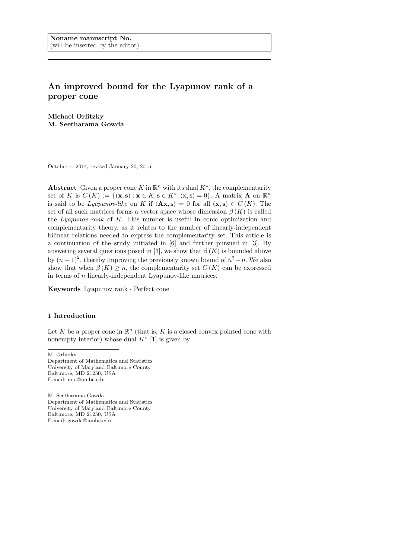# An improved bound for the Lyapunov rank of a proper cone

Michael Orlitzky M. Seetharama Gowda

October 1, 2014, revised January 20, 2015

Abstract Given a proper cone K in  $\mathbb{R}^n$  with its dual  $K^*$ , the complementarity set of K is  $C(K) := \{(\mathbf{x}, \mathbf{s}) : \mathbf{x} \in K, \mathbf{s} \in K^*, \langle \mathbf{x}, \mathbf{s} \rangle = 0\}.$  A matrix **A** on  $\mathbb{R}^n$ is said to be *Lyapunov-like* on K if  $\langle Ax, s \rangle = 0$  for all  $(x, s) \in C(K)$ . The set of all such matrices forms a vector space whose dimension  $\beta(K)$  is called the Lyapunov rank of K. This number is useful in conic optimization and complementarity theory, as it relates to the number of linearly-independent bilinear relations needed to express the complementarity set. This article is a continuation of the study initiated in [6] and further pursued in [3]. By answering several questions posed in [3], we show that  $\beta(K)$  is bounded above by  $(n-1)^2$ , thereby improving the previously known bound of  $n^2 - n$ . We also show that when  $\beta(K) \geq n$ , the complementarity set  $C(K)$  can be expressed in terms of n linearly-independent Lyapunov-like matrices.

Keywords Lyapunov rank · Perfect cone

### 1 Introduction

Let K be a proper cone in  $\mathbb{R}^n$  (that is, K is a closed convex pointed cone with nonempty interior) whose dual  $K^*$  [1] is given by

M. Orlitzky

Department of Mathematics and Statistics University of Maryland Baltimore County Baltimore, MD 21250, USA E-mail: mjo@umbc.edu

M. Seetharama Gowda Department of Mathematics and Statistics University of Maryland Baltimore County Baltimore, MD 21250, USA E-mail: gowda@umbc.edu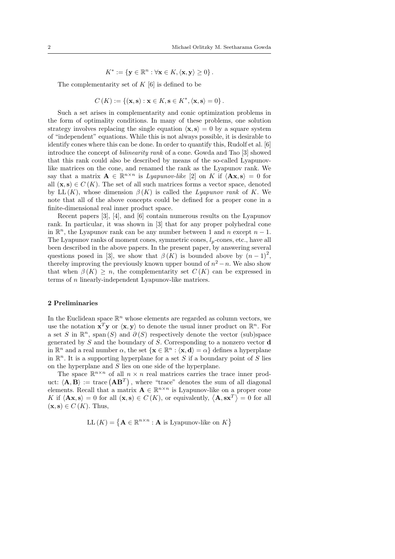$$
K^* := \{ \mathbf{y} \in \mathbb{R}^n : \forall \mathbf{x} \in K, \langle \mathbf{x}, \mathbf{y} \rangle \geq 0 \}.
$$

The complementarity set of  $K[6]$  is defined to be

$$
C(K) := \{ (\mathbf{x}, \mathbf{s}) : \mathbf{x} \in K, \mathbf{s} \in K^*, \langle \mathbf{x}, \mathbf{s} \rangle = 0 \}.
$$

Such a set arises in complementarity and conic optimization problems in the form of optimality conditions. In many of these problems, one solution strategy involves replacing the single equation  $\langle \mathbf{x}, \mathbf{s} \rangle = 0$  by a square system of "independent" equations. While this is not always possible, it is desirable to identify cones where this can be done. In order to quantify this, Rudolf et al. [6] introduce the concept of bilinearity rank of a cone. Gowda and Tao [3] showed that this rank could also be described by means of the so-called Lyapunovlike matrices on the cone, and renamed the rank as the Lyapunov rank. We say that a matrix  $\mathbf{A} \in \mathbb{R}^{n \times n}$  is *Lyapunov-like* [2] on K if  $\langle \mathbf{A} \mathbf{x}, \mathbf{s} \rangle = 0$  for all  $(x, s) \in C(K)$ . The set of all such matrices forms a vector space, denoted by LL  $(K)$ , whose dimension  $\beta(K)$  is called the Lyapunov rank of K. We note that all of the above concepts could be defined for a proper cone in a finite-dimensional real inner product space.

Recent papers [3], [4], and [6] contain numerous results on the Lyapunov rank. In particular, it was shown in [3] that for any proper polyhedral cone in  $\mathbb{R}^n$ , the Lyapunov rank can be any number between 1 and n except  $n-1$ . The Lyapunov ranks of moment cones, symmetric cones,  $l_p$ -cones, etc., have all been described in the above papers. In the present paper, by answering several questions posed in [3], we show that  $\beta(K)$  is bounded above by  $(n-1)^2$ , thereby improving the previously known upper bound of  $n^2 - n$ . We also show that when  $\beta(K) \geq n$ , the complementarity set  $C(K)$  can be expressed in terms of n linearly-independent Lyapunov-like matrices.

#### 2 Preliminaries

In the Euclidean space  $\mathbb{R}^n$  whose elements are regarded as column vectors, we use the notation  $\mathbf{x}^T \mathbf{y}$  or  $\langle \mathbf{x}, \mathbf{y} \rangle$  to denote the usual inner product on  $\mathbb{R}^n$ . For a set S in  $\mathbb{R}^n$ , span  $(S)$  and  $\partial(S)$  respectively denote the vector (sub)space generated by  $S$  and the boundary of  $S$ . Corresponding to a nonzero vector **d** in  $\mathbb{R}^n$  and a real number  $\alpha$ , the set  $\{x \in \mathbb{R}^n : \langle x, d \rangle = \alpha\}$  defines a hyperplane in  $\mathbb{R}^n$ . It is a supporting hyperplane for a set S if a boundary point of S lies on the hyperplane and S lies on one side of the hyperplane.

The space  $\mathbb{R}^{n \times n}$  of all  $n \times n$  real matrices carries the trace inner product:  $\langle \mathbf{A}, \mathbf{B} \rangle := \text{trace}(\mathbf{A}\mathbf{B}^T)$ , where "trace" denotes the sum of all diagonal elements. Recall that a matrix  $\mathbf{A} \in \mathbb{R}^{n \times n}$  is Lyapunov-like on a proper cone K if  $\langle \mathbf{A} \mathbf{x}, \mathbf{s} \rangle = 0$  for all  $(\mathbf{x}, \mathbf{s}) \in C(K)$ , or equivalently,  $\langle \mathbf{A}, \mathbf{s} \mathbf{x}^T \rangle = 0$  for all  $(\mathbf{x}, \mathbf{s}) \in C(K)$ . Thus,

$$
LL(K) = \{ \mathbf{A} \in \mathbb{R}^{n \times n} : \mathbf{A} \text{ is Lyapunov-like on } K \}
$$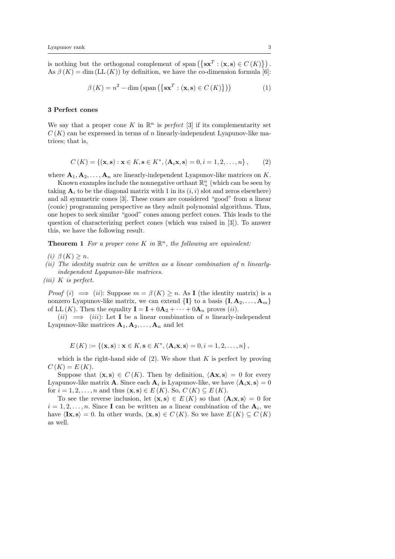is nothing but the orthogonal complement of span  $({\{sx^T : (x, s) \in C(K)\}})$ . As  $\beta(K) = \dim (LL(K))$  by definition, we have the co-dimension formula [6]:

$$
\beta(K) = n^2 - \dim\left(\text{span}\left(\left\{\mathbf{s}\mathbf{x}^T : (\mathbf{x}, \mathbf{s}) \in C(K)\right\}\right)\right) \tag{1}
$$

## 3 Perfect cones

We say that a proper cone K in  $\mathbb{R}^n$  is perfect [3] if its complementarity set  $C(K)$  can be expressed in terms of n linearly-independent Lyapunov-like matrices; that is,

$$
C(K) = \{ (\mathbf{x}, \mathbf{s}) : \mathbf{x} \in K, \mathbf{s} \in K^*, \langle \mathbf{A}_i \mathbf{x}, \mathbf{s} \rangle = 0, i = 1, 2, ..., n \},\qquad(2)
$$

where  $\mathbf{A}_1, \mathbf{A}_2, \ldots, \mathbf{A}_n$  are linearly-independent Lyapunov-like matrices on K.

Known examples include the nonnegative orthant  $\mathbb{R}^n_+$  (which can be seen by taking  $A_i$  to be the diagonal matrix with 1 in its  $(i, i)$  slot and zeros elsewhere) and all symmetric cones [3]. These cones are considered "good" from a linear (conic) programming perspective as they admit polynomial algorithms. Thus, one hopes to seek similar "good" cones among perfect cones. This leads to the question of characterizing perfect cones (which was raised in [3]). To answer this, we have the following result.

**Theorem 1** For a proper cone K in  $\mathbb{R}^n$ , the following are equivalent:

- (i)  $\beta(K) \geq n$ .
- (ii) The identity matrix can be written as a linear combination of n linearlyindependent Lyapunov-like matrices.
- $(iii)$  K is perfect.

*Proof* (i)  $\implies$  (ii): Suppose  $m = \beta(K) \geq n$ . As I (the identity matrix) is a nonzero Lyapunov-like matrix, we can extend  $\{I\}$  to a basis  $\{I, A_2, \ldots, A_m\}$ of LL  $(K)$ . Then the equality  $\mathbf{I} = \mathbf{I} + 0\mathbf{A}_2 + \cdots + 0\mathbf{A}_n$  proves  $(ii)$ .

 $(ii) \implies (iii)$ : Let **I** be a linear combination of *n* linearly-independent Lyapunov-like matrices  $A_1, A_2, \ldots, A_n$  and let

$$
E(K) := \{(\mathbf{x}, \mathbf{s}) : \mathbf{x} \in K, \mathbf{s} \in K^*, \langle \mathbf{A}_i \mathbf{x}, \mathbf{s} \rangle = 0, i = 1, 2, \dots, n\},\
$$

which is the right-hand side of  $(2)$ . We show that K is perfect by proving  $C(K) = E(K)$ .

Suppose that  $(x, s) \in C(K)$ . Then by definition,  $\langle Ax, s \rangle = 0$  for every Lyapunov-like matrix **A**. Since each  $\mathbf{A}_i$  is Lyapunov-like, we have  $\langle \mathbf{A}_i \mathbf{x}, \mathbf{s} \rangle = 0$ for  $i = 1, 2, \ldots, n$  and thus  $(\mathbf{x}, \mathbf{s}) \in E(K)$ . So,  $C(K) \subseteq E(K)$ .

To see the reverse inclusion, let  $({\bf x},{\bf s}) \in E(K)$  so that  $\langle {\bf A}_i {\bf x},{\bf s} \rangle = 0$  for  $i = 1, 2, \ldots, n$ . Since **I** can be written as a linear combination of the  $A_i$ , we have  $\langle \mathbf{I} \mathbf{x}, \mathbf{s} \rangle = 0$ . In other words,  $(\mathbf{x}, \mathbf{s}) \in C(K)$ . So we have  $E(K) \subseteq C(K)$ as well.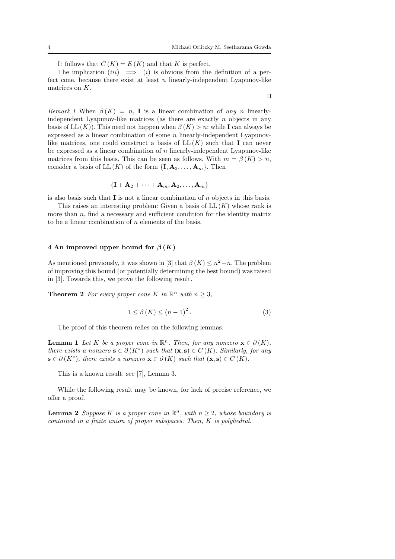$\Box$ 

It follows that  $C(K) = E(K)$  and that K is perfect.

The implication  $(iii) \implies (i)$  is obvious from the definition of a perfect cone, because there exist at least  $n$  linearly-independent Lyapunov-like matrices on K.

Remark 1 When  $\beta(K) = n$ , I is a linear combination of any n linearlyindependent Lyapunov-like matrices (as there are exactly  $n$  objects in any basis of LL  $(K)$ ). This need not happen when  $\beta(K) > n$ : while I can always be expressed as a linear combination of some n linearly-independent Lyapunovlike matrices, one could construct a basis of  $LL(K)$  such that I can never be expressed as a linear combination of  $n$  linearly-independent Lyapunov-like matrices from this basis. This can be seen as follows. With  $m = \beta(K) > n$ , consider a basis of  $LL(K)$  of the form  $\{I, A_2, \ldots, A_m\}$ . Then

$$
\{{\mathbf I}+{\mathbf A}_2+\cdots+{\mathbf A}_m,{\mathbf A}_2,\ldots,{\mathbf A}_m\}
$$

is also basis such that  $\mathbf I$  is not a linear combination of  $n$  objects in this basis.

This raises an interesting problem: Given a basis of  $LL(K)$  whose rank is more than  $n$ , find a necessary and sufficient condition for the identity matrix to be a linear combination of  $n$  elements of the basis.

## 4 An improved upper bound for  $\beta(K)$

As mentioned previously, it was shown in [3] that  $\beta(K) \leq n^2 - n$ . The problem of improving this bound (or potentially determining the best bound) was raised in [3]. Towards this, we prove the following result.

**Theorem 2** For every proper cone K in  $\mathbb{R}^n$  with  $n \geq 3$ ,

$$
1 \le \beta(K) \le (n-1)^2. \tag{3}
$$

The proof of this theorem relies on the following lemmas.

**Lemma 1** Let K be a proper cone in  $\mathbb{R}^n$ . Then, for any nonzero  $\mathbf{x} \in \partial(K)$ , there exists a nonzero  $\mathbf{s} \in \partial(K^*)$  such that  $(\mathbf{x}, \mathbf{s}) \in C(K)$ . Similarly, for any  $\mathbf{s} \in \partial(K^*)$ , there exists a nonzero  $\mathbf{x} \in \partial(K)$  such that  $(\mathbf{x}, \mathbf{s}) \in C(K)$ .

This is a known result: see [7], Lemma 3.

While the following result may be known, for lack of precise reference, we offer a proof.

**Lemma 2** Suppose K is a proper cone in  $\mathbb{R}^n$ , with  $n \geq 2$ , whose boundary is contained in a finite union of proper subspaces. Then, K is polyhedral.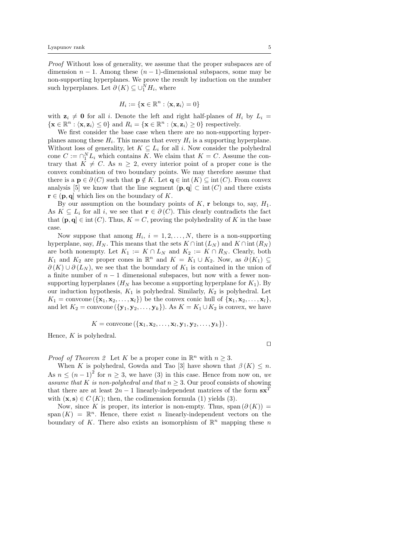Proof Without loss of generality, we assume that the proper subspaces are of dimension  $n-1$ . Among these  $(n-1)$ -dimensional subspaces, some may be non-supporting hyperplanes. We prove the result by induction on the number such hyperplanes. Let  $\partial(K) \subseteq \bigcup_{i=1}^{N} H_i$ , where

$$
H_i := \{ \mathbf{x} \in \mathbb{R}^n : \langle \mathbf{x}, \mathbf{z}_i \rangle = 0 \}
$$

with  $z_i \neq 0$  for all i. Denote the left and right half-planes of  $H_i$  by  $L_i =$  $\{ \mathbf{x} \in \mathbb{R}^n : \langle \mathbf{x}, \mathbf{z}_i \rangle \leq 0 \}$  and  $R_i = \{ \mathbf{x} \in \mathbb{R}^n : \langle \mathbf{x}, \mathbf{z}_i \rangle \geq 0 \}$  respectively.

We first consider the base case when there are no non-supporting hyperplanes among these  $H_i$ . This means that every  $H_i$  is a supporting hyperplane. Without loss of generality, let  $K \subseteq L_i$  for all i. Now consider the polyhedral cone  $C := \bigcap_{i=1}^{N} L_i$  which contains K. We claim that  $K = C$ . Assume the contrary that  $K \neq C$ . As  $n \geq 2$ , every interior point of a proper cone is the convex combination of two boundary points. We may therefore assume that there is a  $p \in \partial(C)$  such that  $p \notin K$ . Let  $q \in \text{int}(K) \subseteq \text{int}(C)$ . From convex analysis [5] we know that the line segment  $(p, q] \subset \text{int}(C)$  and there exists  $\mathbf{r} \in (\mathbf{p}, \mathbf{q}]$  which lies on the boundary of K.

By our assumption on the boundary points of K, r belongs to, say,  $H_1$ . As  $K \subseteq L_i$  for all i, we see that  $\mathbf{r} \in \partial(C)$ . This clearly contradicts the fact that  $(p, q] \in \text{int}(C)$ . Thus,  $K = C$ , proving the polyhedrality of K in the base case.

Now suppose that among  $H_i$ ,  $i = 1, 2, ..., N$ , there is a non-supporting hyperplane, say,  $H_N$ . This means that the sets  $K \cap \text{int}(L_N)$  and  $K \cap \text{int}(R_N)$ are both nonempty. Let  $K_1 := K \cap L_N$  and  $K_2 := K \cap R_N$ . Clearly, both  $K_1$  and  $K_2$  are proper cones in  $\mathbb{R}^n$  and  $K = K_1 \cup K_2$ . Now, as  $\partial(K_1) \subseteq$  $\partial(K) \cup \partial(L_N)$ , we see that the boundary of  $K_1$  is contained in the union of a finite number of  $n-1$  dimensional subspaces, but now with a fewer nonsupporting hyperplanes  $(H_N)$  has become a supporting hyperplane for  $K_1$ ). By our induction hypothesis,  $K_1$  is polyhedral. Similarly,  $K_2$  is polyhedral. Let  $K_1 = \text{convcone}(\{\mathbf{x}_1, \mathbf{x}_2, \dots, \mathbf{x}_l\})$  be the convex conic hull of  $\{\mathbf{x}_1, \mathbf{x}_2, \dots, \mathbf{x}_l\}$ , and let  $K_2 = \text{convcone}(\{\mathbf{y}_1, \mathbf{y}_2, \dots, \mathbf{y}_k\})$ . As  $K = K_1 \cup K_2$  is convex, we have

$$
K = \text{convcone}\left(\{\mathbf{x}_1, \mathbf{x}_2, \ldots, \mathbf{x}_l, \mathbf{y}_1, \mathbf{y}_2, \ldots, \mathbf{y}_k\}\right).
$$

Hence,  $K$  is polyhedral.

 $\Box$ 

*Proof of Theorem 2* Let K be a proper cone in  $\mathbb{R}^n$  with  $n \geq 3$ .

When K is polyhedral, Gowda and Tao [3] have shown that  $\beta(K) \leq n$ . As  $n \leq (n-1)^2$  for  $n \geq 3$ , we have (3) in this case. Hence from now on, we assume that K is non-polyhedral and that  $n \geq 3$ . Our proof consists of showing that there are at least  $2n - 1$  linearly-independent matrices of the form  $sx^T$ with  $(x, s) \in C(K)$ ; then, the codimension formula (1) yields (3).

Now, since K is proper, its interior is non-empty. Thus, span  $(\partial(K))$  = span  $(K) = \mathbb{R}^n$ . Hence, there exist n linearly-independent vectors on the boundary of K. There also exists an isomorphism of  $\mathbb{R}^n$  mapping these n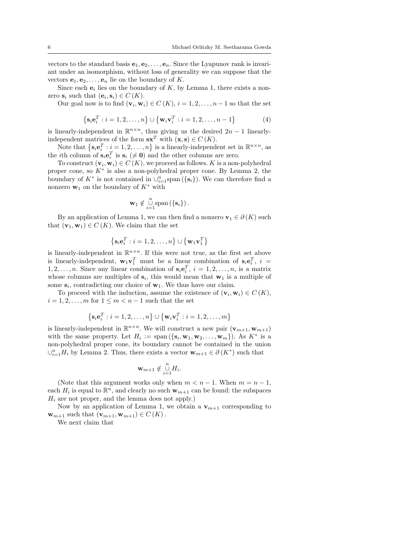vectors to the standard basis  $e_1, e_2, \ldots, e_n$ . Since the Lyapunov rank is invariant under an isomorphism, without loss of generality we can suppose that the vectors  $e_1, e_2, \ldots, e_n$  lie on the boundary of K.

Since each  $e_i$  lies on the boundary of K, by Lemma 1, there exists a nonzero  $\mathbf{s}_i$  such that  $(\mathbf{e}_i, \mathbf{s}_i) \in C(K)$ .

Our goal now is to find  $(\mathbf{v}_i, \mathbf{w}_i) \in C(K)$ ,  $i = 1, 2, ..., n-1$  so that the set

$$
\left\{ \mathbf{s}_{i} \mathbf{e}_{i}^{T} : i = 1, 2, ..., n \right\} \cup \left\{ \mathbf{w}_{i} \mathbf{v}_{i}^{T} : i = 1, 2, ..., n - 1 \right\}
$$
(4)

is linearly-independent in  $\mathbb{R}^{n \times n}$ , thus giving us the desired  $2n - 1$  linearlyindependent matrices of the form  $\mathbf{s} \mathbf{x}^T$  with  $(\mathbf{x}, \mathbf{s}) \in C(K)$ .

Note that  $\left\{ \mathbf{s}_i \mathbf{e}_i^T : i = 1, 2, ..., n \right\}$  is a linearly-independent set in  $\mathbb{R}^{n \times n}$ , as the *i*th column of  $\mathbf{s}_i \mathbf{e}_i^T$  is  $\mathbf{s}_i \neq \mathbf{0}$  and the other columns are zero.

To construct  $(\mathbf{v}_i, \mathbf{w}_i) \in C(K)$ , we proceed as follows. K is a non-polyhedral proper cone, so  $K^*$  is also a non-polyhedral proper cone. By Lemma 2, the boundary of  $K^*$  is not contained in  $\cup_{i=1}^n$  span  $(\{\mathbf{s}_i\})$ . We can therefore find a nonzero  $\mathbf{w}_1$  on the boundary of  $K^*$  with

$$
\mathbf{w}_1 \notin \bigcup_{i=1}^n \text{span}(\{\mathbf{s}_i\})\,.
$$

By an application of Lemma 1, we can then find a nonzero  $\mathbf{v}_1 \in \partial(K)$  such that  $(\mathbf{v}_1, \mathbf{w}_1) \in C(K)$ . We claim that the set

$$
\left\{ \mathbf{s}_{i}\mathbf{e}_{i}^{T}:i=1,2,\ldots,n\right\} \cup\left\{ \mathbf{w}_{1}\mathbf{v}_{1}^{T}\right\}
$$

is linearly-independent in  $\mathbb{R}^{n \times n}$ . If this were not true, as the first set above is linearly-independent,  $\mathbf{w}_1 \mathbf{v}_1^T$  must be a linear combination of  $\mathbf{s}_i \mathbf{e}_i^T$ ,  $i =$  $1, 2, \ldots, n$ . Since any linear combination of  $\mathbf{s}_i \mathbf{e}_i^T$ ,  $i = 1, 2, \ldots, n$ , is a matrix whose columns are multiples of  $s_i$ , this would mean that  $w_1$  is a multiple of some  $s_i$ , contradicting our choice of  $w_1$ . We thus have our claim.

To proceed with the induction, assume the existence of  $(\mathbf{v}_i, \mathbf{w}_i) \in C(K)$ ,  $i = 1, 2, \ldots, m$  for  $1 \leq m < n - 1$  such that the set

$$
\left\{\mathbf{s}_i\mathbf{e}_i^T:i=1,2,\ldots,n\right\}\cup\left\{\mathbf{w}_i\mathbf{v}_i^T:i=1,2,\ldots,m\right\}
$$

is linearly-independent in  $\mathbb{R}^{n \times n}$ . We will construct a new pair  $(\mathbf{v}_{m+1}, \mathbf{w}_{m+1})$ with the same property. Let  $H_i := \text{span}(\{\mathbf{s}_i, \mathbf{w}_1, \mathbf{w}_2, \dots, \mathbf{w}_m\})$ . As  $K^*$  is a non-polyhedral proper cone, its boundary cannot be contained in the union  $\cup_{i=1}^n H_i$  by Lemma 2. Thus, there exists a vector  $\mathbf{w}_{m+1} \in \partial(K^*)$  such that

$$
\mathbf{w}_{m+1} \notin \bigcup_{i=1}^{n} H_i.
$$

(Note that this argument works only when  $m < n - 1$ . When  $m = n - 1$ , each  $H_i$  is equal to  $\mathbb{R}^n$ , and clearly no such  $\mathbf{w}_{m+1}$  can be found: the subspaces  $H_i$  are not proper, and the lemma does not apply.)

Now by an application of Lemma 1, we obtain a  $\mathbf{v}_{m+1}$  corresponding to  $\mathbf{w}_{m+1}$  such that  $(\mathbf{v}_{m+1}, \mathbf{w}_{m+1}) \in C(K)$ .

We next claim that